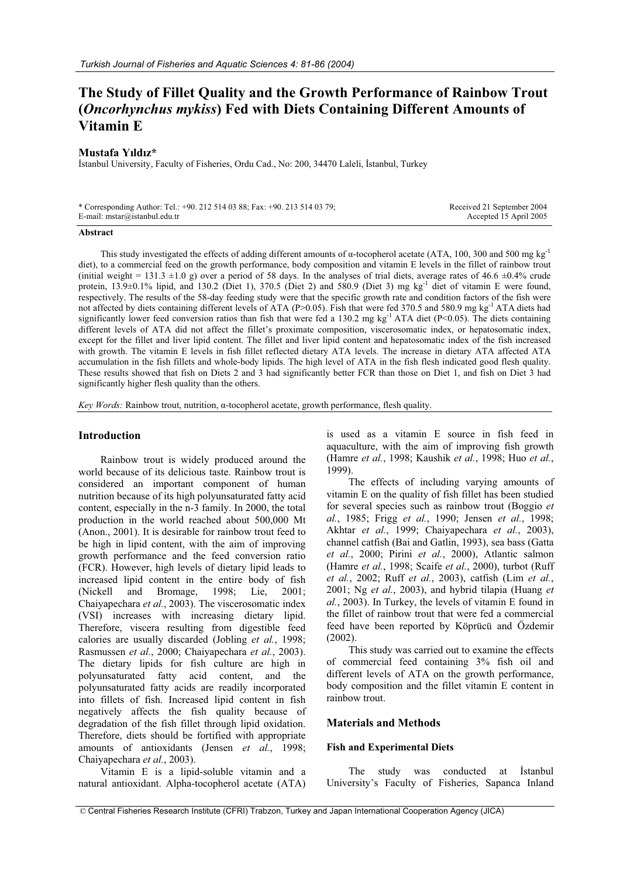# **The Study of Fillet Quality and the Growth Performance of Rainbow Trout (***Oncorhynchus mykiss***) Fed with Diets Containing Different Amounts of Vitamin E**

## **Mustafa Yıldız\***

Ístanbul University, Faculty of Fisheries, Ordu Cad., No: 200, 34470 Laleli, İstanbul, Turkey

\* Corresponding Author: Tel.: +90. 212 514 03 88; Fax: +90. 213 514 03 79; E-mail: mstar@istanbul.edu.tr

 Received 21 September 2004 Accepted 15 April 2005

#### **Abstract**

This study investigated the effects of adding different amounts of  $\alpha$ -tocopherol acetate (ATA, 100, 300 and 500 mg kg<sup>-1</sup> diet), to a commercial feed on the growth performance, body composition and vitamin E levels in the fillet of rainbow trout (initial weight = 131.3  $\pm$ 1.0 g) over a period of 58 days. In the analyses of trial diets, average rates of 46.6  $\pm$ 0.4% crude protein,  $13.9\pm0.1\%$  lipid, and  $130.2$  (Diet 1),  $370.5$  (Diet 2) and  $580.9$  (Diet 3) mg kg<sup>-1</sup> diet of vitamin E were found, respectively. The results of the 58-day feeding study were that the specific growth rate and condition factors of the fish were not affected by diets containing different levels of ATA (P>0.05). Fish that were fed 370.5 and 580.9 mg kg<sup>-1</sup> ATA diets had significantly lower feed conversion ratios than fish that were fed a 130.2 mg kg<sup>-1</sup> ATA diet (P<0.05). The diets containing different levels of ATA did not affect the fillet's proximate composition, viscerosomatic index, or hepatosomatic index, except for the fillet and liver lipid content. The fillet and liver lipid content and hepatosomatic index of the fish increased with growth. The vitamin E levels in fish fillet reflected dietary ATA levels. The increase in dietary ATA affected ATA accumulation in the fish fillets and whole-body lipids. The high level of ATA in the fish flesh indicated good flesh quality. These results showed that fish on Diets 2 and 3 had significantly better FCR than those on Diet 1, and fish on Diet 3 had significantly higher flesh quality than the others.

*Key Words:* Rainbow trout, nutrition, α-tocopherol acetate, growth performance, flesh quality.

#### **Introduction**

Rainbow trout is widely produced around the world because of its delicious taste. Rainbow trout is considered an important component of human nutrition because of its high polyunsaturated fatty acid content, especially in the n-3 family. In 2000, the total production in the world reached about 500,000 Mt (Anon., 2001). It is desirable for rainbow trout feed to be high in lipid content, with the aim of improving growth performance and the feed conversion ratio (FCR). However, high levels of dietary lipid leads to increased lipid content in the entire body of fish (Nickell and Bromage, 1998; Lie, 2001; Chaiyapechara *et al.*, 2003). The viscerosomatic index (VSI) increases with increasing dietary lipid. Therefore, viscera resulting from digestible feed calories are usually discarded (Jobling *et al.*, 1998; Rasmussen *et al.*, 2000; Chaiyapechara *et al.*, 2003). The dietary lipids for fish culture are high in polyunsaturated fatty acid content, and the polyunsaturated fatty acids are readily incorporated into fillets of fish. Increased lipid content in fish negatively affects the fish quality because of degradation of the fish fillet through lipid oxidation. Therefore, diets should be fortified with appropriate amounts of antioxidants (Jensen *et al.*, 1998; Chaiyapechara *et al.*, 2003).

Vitamin E is a lipid-soluble vitamin and a natural antioxidant. Alpha-tocopherol acetate (ATA) is used as a vitamin E source in fish feed in aquaculture, with the aim of improving fish growth (Hamre *et al.*, 1998; Kaushik *et al.*, 1998; Huo *et al.*, 1999).

The effects of including varying amounts of vitamin E on the quality of fish fillet has been studied for several species such as rainbow trout (Boggio *et al.*, 1985; Frigg *et al.*, 1990; Jensen *et al.*, 1998; Akhtar *et al.*, 1999; Chaiyapechara *et al.*, 2003), channel catfish (Bai and Gatlin, 1993), sea bass (Gatta *et al.*, 2000; Pirini *et al.*, 2000), Atlantic salmon (Hamre *et al.*, 1998; Scaife *et al.*, 2000), turbot (Ruff *et al.*, 2002; Ruff *et al.*, 2003), catfish (Lim *et al.*, 2001; Ng *et al.*, 2003), and hybrid tilapia (Huang *et al.*, 2003). In Turkey, the levels of vitamin E found in the fillet of rainbow trout that were fed a commercial feed have been reported by Köprücü and Özdemir (2002).

This study was carried out to examine the effects of commercial feed containing 3% fish oil and different levels of ATA on the growth performance, body composition and the fillet vitamin E content in rainbow trout.

# **Materials and Methods**

#### **Fish and Experimental Diets**

The study was conducted at Istanbul University's Faculty of Fisheries, Sapanca Inland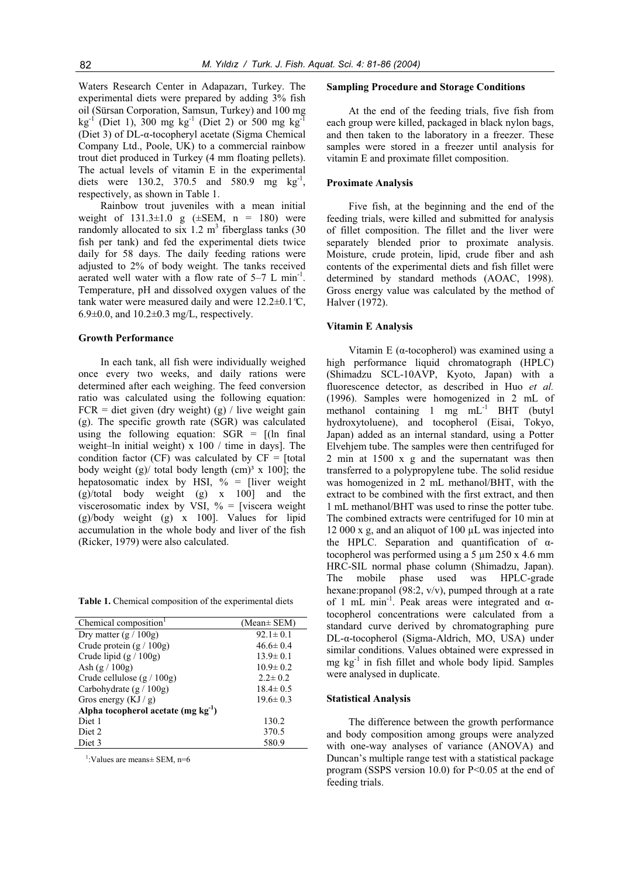Waters Research Center in Adapazarı, Turkey. The experimental diets were prepared by adding 3% fish oil (Sürsan Corporation, Samsun, Turkey) and 100 mg  $kg^{-1}$  (Diet 1), 300 mg kg<sup>-1</sup> (Diet 2) or 500 mg kg<sup>-1</sup> (Diet 3) of  $DL$ - $\alpha$ -tocopheryl acetate (Sigma Chemical Company Ltd., Poole, UK) to a commercial rainbow trout diet produced in Turkey (4 mm floating pellets). The actual levels of vitamin E in the experimental diets were 130.2, 370.5 and 580.9 mg  $kg^{-1}$ , respectively, as shown in Table 1.

Rainbow trout juveniles with a mean initial weight of 131.3*±*1.0 g (±SEM, n = 180) were randomly allocated to six 1.2  $m<sup>3</sup>$  fiberglass tanks (30 fish per tank) and fed the experimental diets twice daily for 58 days. The daily feeding rations were adjusted to 2% of body weight. The tanks received aerated well water with a flow rate of  $5-7$  L min<sup>-1</sup>. Temperature, pH and dissolved oxygen values of the tank water were measured daily and were 12.2*±*0.1*º*C, 6.9*±*0.0, and 10.2*±*0.3 mg/L, respectively.

#### **Growth Performance**

In each tank, all fish were individually weighed once every two weeks, and daily rations were determined after each weighing. The feed conversion ratio was calculated using the following equation:  $FCR =$  diet given (dry weight) (g) / live weight gain (g). The specific growth rate (SGR) was calculated using the following equation:  $SGR = [(ln \quad final$ weight–ln initial weight) x 100 / time in days]. The condition factor (CF) was calculated by  $CF = [total]$ body weight (g)/ total body length (cm)<sup>3</sup> x 100]; the hepatosomatic index by HSI,  $\%$  = [liver weight (g)/total body weight (g) x 100] and the viscerosomatic index by VSI,  $\%$  = [viscera weight (g)/body weight (g) x 100]. Values for lipid accumulation in the whole body and liver of the fish (Ricker, 1979) were also calculated.

**Table 1.** Chemical composition of the experimental diets

| Chemical composition <sup>1</sup>        | (Mean $\pm$ SEM) |
|------------------------------------------|------------------|
| Dry matter $(g / 100g)$                  | $92.1 \pm 0.1$   |
| Crude protein $(g / 100g)$               | $46.6 \pm 0.4$   |
| Crude lipid $(g / 100g)$                 | $13.9 \pm 0.1$   |
| Ash $(g / 100g)$                         | $10.9 \pm 0.2$   |
| Crude cellulose $(g / 100g)$             | $2.2 \pm 0.2$    |
| Carbohydrate $(g / 100g)$                | $18.4 \pm 0.5$   |
| Gros energy $(KJ/g)$                     | $19.6 \pm 0.3$   |
| Alpha tocopherol acetate (mg $kg^{-1}$ ) |                  |
| Diet 1                                   | 130.2            |
| Diet <sub>2</sub>                        | 370.5            |
| Diet 3                                   | 580.9            |

1 :Values are means*±* SEM, n=6

## **Sampling Procedure and Storage Conditions**

At the end of the feeding trials, five fish from each group were killed, packaged in black nylon bags, and then taken to the laboratory in a freezer. These samples were stored in a freezer until analysis for vitamin E and proximate fillet composition.

## **Proximate Analysis**

Five fish, at the beginning and the end of the feeding trials, were killed and submitted for analysis of fillet composition. The fillet and the liver were separately blended prior to proximate analysis. Moisture, crude protein, lipid, crude fiber and ash contents of the experimental diets and fish fillet were determined by standard methods (AOAC, 1998). Gross energy value was calculated by the method of Halver (1972).

# **Vitamin E Analysis**

Vitamin E ( $\alpha$ -tocopherol) was examined using a high performance liquid chromatograph (HPLC) (Shimadzu SCL-10AVP, Kyoto, Japan) with a fluorescence detector, as described in Huo *et al.* (1996). Samples were homogenized in 2 mL of methanol containing 1 mg mL-1 BHT (butyl hydroxytoluene), and tocopherol (Eisai, Tokyo, Japan) added as an internal standard, using a Potter Elvehjem tube. The samples were then centrifuged for 2 min at 1500 x g and the supernatant was then transferred to a polypropylene tube. The solid residue was homogenized in 2 mL methanol/BHT, with the extract to be combined with the first extract, and then 1 mL methanol/BHT was used to rinse the potter tube. The combined extracts were centrifuged for 10 min at 12 000 x g, and an aliquot of 100 µL was injected into the HPLC. Separation and quantification of  $\alpha$ tocopherol was performed using a 5 µm 250 x 4.6 mm HRC-SIL normal phase column (Shimadzu, Japan). The mobile phase used was HPLC-grade hexane:propanol (98:2, v/v), pumped through at a rate of 1 mL min<sup>-1</sup>. Peak areas were integrated and  $\alpha$ tocopherol concentrations were calculated from a standard curve derived by chromatographing pure  $DL-\alpha$ -tocopherol (Sigma-Aldrich, MO, USA) under similar conditions. Values obtained were expressed in mg kg-1 in fish fillet and whole body lipid. Samples were analysed in duplicate.

#### **Statistical Analysis**

The difference between the growth performance and body composition among groups were analyzed with one-way analyses of variance (ANOVA) and Duncan's multiple range test with a statistical package program (SSPS version 10.0) for  $P<0.05$  at the end of feeding trials.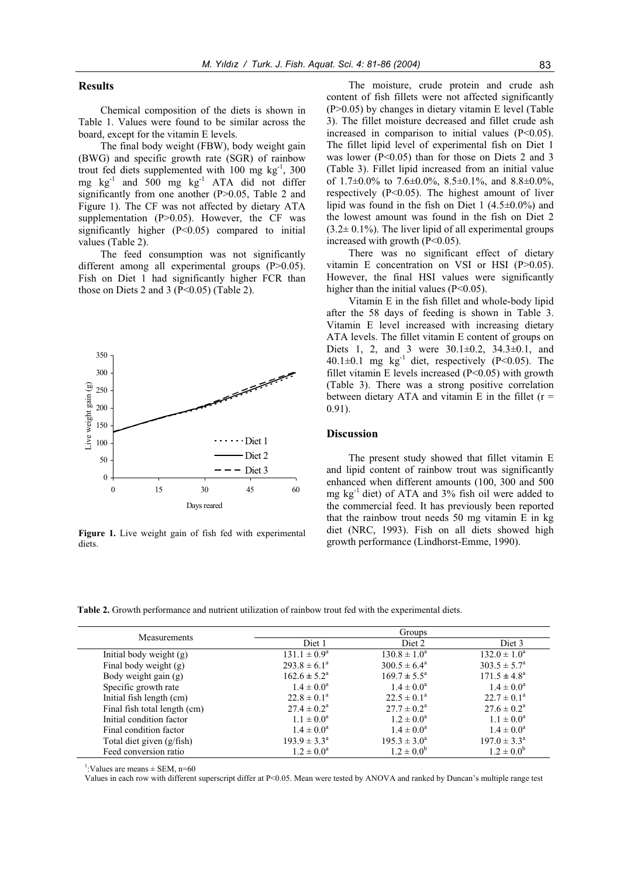# **Results**

Chemical composition of the diets is shown in Table 1. Values were found to be similar across the board, except for the vitamin E levels.

The final body weight (FBW), body weight gain (BWG) and specific growth rate (SGR) of rainbow trout fed diets supplemented with 100 mg kg<sup>-1</sup>, 300 mg kg-1 and 500 mg kg-1 ATA did not differ significantly from one another (P>0.05, Table 2 and Figure 1). The CF was not affected by dietary ATA supplementation (P>0.05). However, the CF was significantly higher  $(P<0.05)$  compared to initial values (Table 2).

The feed consumption was not significantly different among all experimental groups (P>0.05). Fish on Diet 1 had significantly higher FCR than those on Diets 2 and 3 ( $P<0.05$ ) (Table 2).



**Figure 1.** Live weight gain of fish fed with experimental diets.

The moisture, crude protein and crude ash content of fish fillets were not affected significantly (P>0.05) by changes in dietary vitamin E level (Table 3). The fillet moisture decreased and fillet crude ash increased in comparison to initial values (P<0.05). The fillet lipid level of experimental fish on Diet 1 was lower (P<0.05) than for those on Diets 2 and 3 (Table 3). Fillet lipid increased from an initial value of 1.7*±*0.0% to 7.6*±*0.0%, 8.5*±*0.1%, and 8.8*±*0.0%, respectively (P<0.05). The highest amount of liver lipid was found in the fish on Diet 1 (4.5*±*0.0%) and the lowest amount was found in the fish on Diet 2  $(3.2\pm 0.1\%)$ . The liver lipid of all experimental groups increased with growth (P<0.05).

There was no significant effect of dietary vitamin E concentration on VSI or HSI (P>0.05). However, the final HSI values were significantly higher than the initial values (P<0.05).

Vitamin E in the fish fillet and whole-body lipid after the 58 days of feeding is shown in Table 3. Vitamin E level increased with increasing dietary ATA levels. The fillet vitamin E content of groups on Diets 1, 2, and 3 were 30.1*±*0.2, 34.3*±*0.1, and  $40.1 \pm 0.1$  mg kg<sup>-1</sup> diet, respectively (P<0.05). The fillet vitamin E levels increased  $(P<0.05)$  with growth (Table 3). There was a strong positive correlation between dietary ATA and vitamin E in the fillet  $(r =$ 0.91).

# **Discussion**

The present study showed that fillet vitamin E and lipid content of rainbow trout was significantly enhanced when different amounts (100, 300 and 500 mg  $kg^{-1}$  diet) of ATA and 3% fish oil were added to the commercial feed. It has previously been reported that the rainbow trout needs 50 mg vitamin E in kg diet (NRC, 1993). Fish on all diets showed high growth performance (Lindhorst-Emme, 1990).

**Table 2.** Growth performance and nutrient utilization of rainbow trout fed with the experimental diets.

| Measurements                 | Groups                  |                           |                           |  |
|------------------------------|-------------------------|---------------------------|---------------------------|--|
|                              | Diet 1                  | Diet 2                    | Diet 3                    |  |
| Initial body weight $(g)$    | $131.1 \pm 0.9^{\circ}$ | $130.8 \pm 1.0^a$         | $132.0 \pm 1.0^a$         |  |
| Final body weight (g)        | $293.8 \pm 6.1^a$       | $300.5 \pm 6.4^{\circ}$   | $303.5 \pm 5.7^{\circ}$   |  |
| Body weight gain (g)         | $162.6 \pm 5.2^{\circ}$ | $169.7 \pm 5.5^{\circ}$   | $171.5 \pm 4.8^a$         |  |
| Specific growth rate         | $1.4 \pm 0.0^a$         | $1.4 \pm 0.0^a$           | $1.4 \pm 0.0^a$           |  |
| Initial fish length (cm)     | $22.8 \pm 0.1^{\circ}$  | $22.5 \pm 0.1^a$          | $22.7 \pm 0.1^a$          |  |
| Final fish total length (cm) | $27.4 \pm 0.2^{\circ}$  | $27.7 \pm 0.2^{\text{a}}$ | $27.6 \pm 0.2^{\text{a}}$ |  |
| Initial condition factor     | $1.1 \pm 0.0^a$         | $1.2 \pm 0.0^a$           | $1.1 \pm 0.0^a$           |  |
| Final condition factor       | $1.4 \pm 0.0^a$         | $1.4 \pm 0.0^a$           | $1.4 \pm 0.0^a$           |  |
| Total diet given (g/fish)    | $193.9 \pm 3.3^{\circ}$ | $195.3 \pm 3.0^a$         | $197.0 \pm 3.3^{\circ}$   |  |
| Feed conversion ratio        | $1.2 \pm 0.0^a$         | $1.2 \pm 0.0^b$           | $1.2 \pm 0.0^b$           |  |

<sup>1</sup>:Values are means  $\pm$  SEM, n=60

Values in each row with different superscript differ at P<0.05. Mean were tested by ANOVA and ranked by Duncan's multiple range test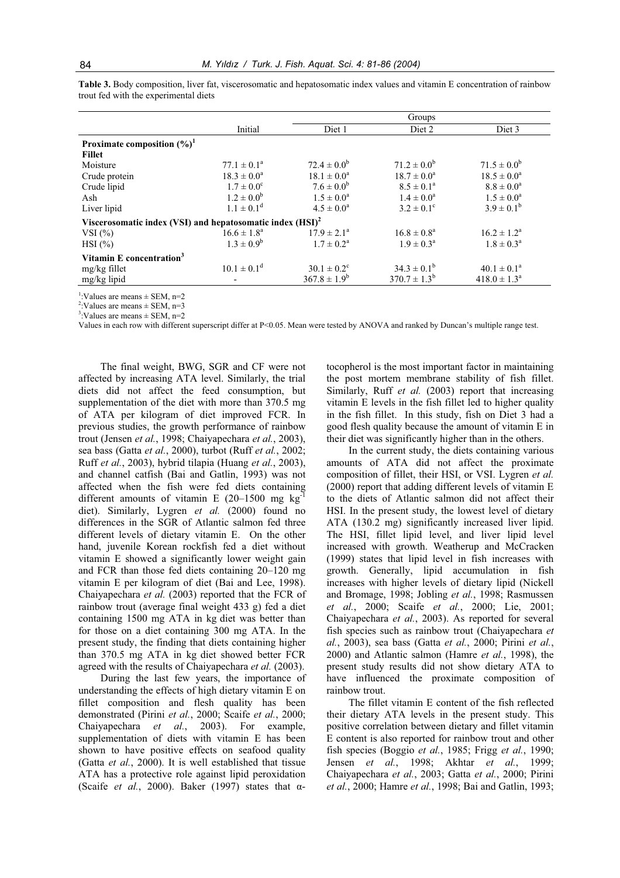|                                                                       |                        | Groups                 |                           |  |  |
|-----------------------------------------------------------------------|------------------------|------------------------|---------------------------|--|--|
| Initial                                                               | Diet 1                 | Diet 2                 | Diet 3                    |  |  |
|                                                                       |                        |                        |                           |  |  |
|                                                                       |                        |                        |                           |  |  |
| $77.1 \pm 0.1^{\circ}$                                                | $72.4 \pm 0.0^b$       | $71.2 \pm 0.0^b$       | $71.5 \pm 0.0^b$          |  |  |
| $18.3 \pm 0.0^a$                                                      | $18.1 \pm 0.0^a$       | $18.7 \pm 0.0^a$       | $18.5 \pm 0.0^a$          |  |  |
| $1.7 \pm 0.0^{\circ}$                                                 | $7.6 \pm 0.0^b$        | $8.5 \pm 0.1^a$        | $8.8 \pm 0.0^a$           |  |  |
| $1.2 \pm 0.0^b$                                                       | $1.5 \pm 0.0^a$        | $1.4 \pm 0.0^a$        | $1.5 \pm 0.0^a$           |  |  |
| $1.1 \pm 0.1^d$                                                       | $4.5 \pm 0.0^a$        | $3.2 \pm 0.1^{\circ}$  | $3.9 \pm 0.1^b$           |  |  |
| Viscerosomatic index (VSI) and hepatosomatic index (HSI) <sup>2</sup> |                        |                        |                           |  |  |
| $16.6 \pm 1.8^{\circ}$                                                | $17.9 \pm 2.1^a$       | $16.8 \pm 0.8^{\circ}$ | $16.2 \pm 1.2^{\text{a}}$ |  |  |
| $1.3 \pm 0.9^b$                                                       | $1.7 \pm 0.2^{\rm a}$  | $1.9 \pm 0.3^{\rm a}$  | $1.8 \pm 0.3^{\rm a}$     |  |  |
|                                                                       |                        |                        |                           |  |  |
| $10.1 \pm 0.1^d$                                                      | $30.1 \pm 0.2^{\circ}$ | $34.3 \pm 0.1^b$       | $40.1 \pm 0.1^a$          |  |  |
|                                                                       | $367.8 \pm 1.9^b$      | $370.7 \pm 1.3^b$      | $418.0 \pm 1.3^{\circ}$   |  |  |
|                                                                       |                        |                        |                           |  |  |

**Table 3.** Body composition, liver fat, viscerosomatic and hepatosomatic index values and vitamin E concentration of rainbow trout fed with the experimental diets

<sup>1</sup>:Values are means  $\pm$  SEM, n=2

<sup>2</sup>: Values are means  $\pm$  SEM, n=3

 $3:$ Values are means  $\pm$  SEM, n=2

Values in each row with different superscript differ at P<0.05. Mean were tested by ANOVA and ranked by Duncan's multiple range test.

The final weight, BWG, SGR and CF were not affected by increasing ATA level. Similarly, the trial diets did not affect the feed consumption, but supplementation of the diet with more than 370.5 mg of ATA per kilogram of diet improved FCR. In previous studies, the growth performance of rainbow trout (Jensen *et al.*, 1998; Chaiyapechara *et al.*, 2003), sea bass (Gatta *et al.*, 2000), turbot (Ruff *et al.*, 2002; Ruff *et al.*, 2003), hybrid tilapia (Huang *et al.*, 2003), and channel catfish (Bai and Gatlin, 1993) was not affected when the fish were fed diets containing different amounts of vitamin E  $(20-1500 \text{ mg kg}^{-1})$ diet). Similarly, Lygren *et al.* (2000) found no differences in the SGR of Atlantic salmon fed three different levels of dietary vitamin E. On the other hand, juvenile Korean rockfish fed a diet without vitamin E showed a significantly lower weight gain and FCR than those fed diets containing 20–120 mg vitamin E per kilogram of diet (Bai and Lee, 1998). Chaiyapechara *et al.* (2003) reported that the FCR of rainbow trout (average final weight 433 g) fed a diet containing 1500 mg ATA in kg diet was better than for those on a diet containing 300 mg ATA. In the present study, the finding that diets containing higher than 370.5 mg ATA in kg diet showed better FCR agreed with the results of Chaiyapechara *et al.* (2003).

During the last few years, the importance of understanding the effects of high dietary vitamin E on fillet composition and flesh quality has been demonstrated (Pirini *et al.*, 2000; Scaife *et al.*, 2000; Chaiyapechara *et al.*, 2003). For example, supplementation of diets with vitamin E has been shown to have positive effects on seafood quality (Gatta *et al.*, 2000). It is well established that tissue ATA has a protective role against lipid peroxidation (Scaife *et al.*, 2000). Baker (1997) states that  $\alpha$ - tocopherol is the most important factor in maintaining the post mortem membrane stability of fish fillet. Similarly, Ruff *et al.* (2003) report that increasing vitamin E levels in the fish fillet led to higher quality in the fish fillet. In this study, fish on Diet 3 had a good flesh quality because the amount of vitamin E in their diet was significantly higher than in the others.

In the current study, the diets containing various amounts of ATA did not affect the proximate composition of fillet, their HSI, or VSI. Lygren *et al.* (2000) report that adding different levels of vitamin E to the diets of Atlantic salmon did not affect their HSI. In the present study, the lowest level of dietary ATA (130.2 mg) significantly increased liver lipid. The HSI, fillet lipid level, and liver lipid level increased with growth. Weatherup and McCracken (1999) states that lipid level in fish increases with growth. Generally, lipid accumulation in fish increases with higher levels of dietary lipid (Nickell and Bromage, 1998; Jobling *et al.*, 1998; Rasmussen *et al.*, 2000; Scaife *et al.*, 2000; Lie, 2001; Chaiyapechara *et al.*, 2003). As reported for several fish species such as rainbow trout (Chaiyapechara *et al.*, 2003), sea bass (Gatta *et al.*, 2000; Pirini *et al.*, 2000) and Atlantic salmon (Hamre *et al.*, 1998), the present study results did not show dietary ATA to have influenced the proximate composition of rainbow trout.

The fillet vitamin E content of the fish reflected their dietary ATA levels in the present study. This positive correlation between dietary and fillet vitamin E content is also reported for rainbow trout and other fish species (Boggio *et al.*, 1985; Frigg *et al.*, 1990; Jensen *et al.*, 1998; Akhtar *et al.*, 1999; Chaiyapechara *et al.*, 2003; Gatta *et al.*, 2000; Pirini *et al.*, 2000; Hamre *et al.*, 1998; Bai and Gatlin, 1993;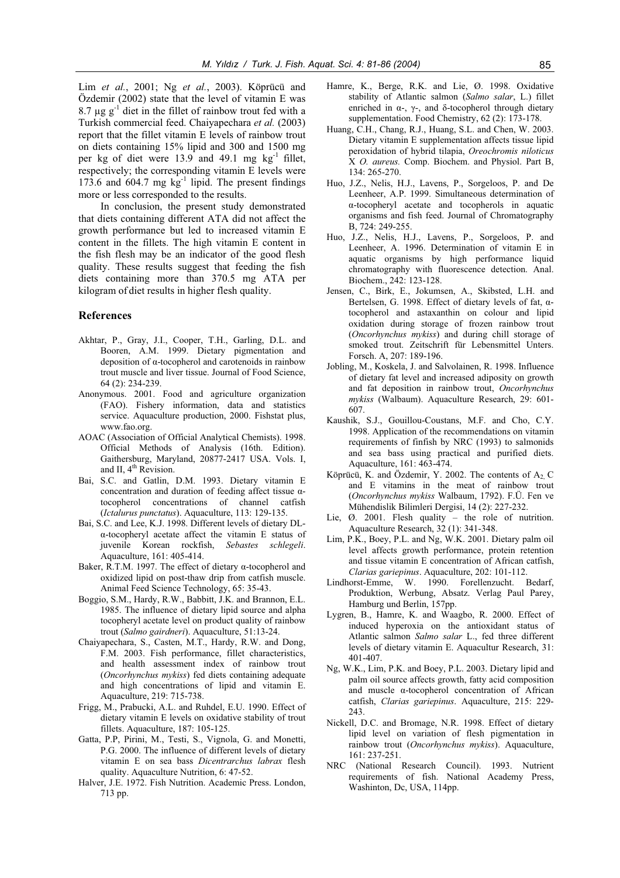Lim *et al.*, 2001; Ng *et al.*, 2003). Köprücü and Özdemir (2002) state that the level of vitamin E was 8.7  $\mu$ g g<sup>-1</sup> diet in the fillet of rainbow trout fed with a Turkish commercial feed. Chaiyapechara *et al.* (2003) report that the fillet vitamin E levels of rainbow trout on diets containing 15% lipid and 300 and 1500 mg per kg of diet were 13.9 and 49.1 mg  $kg^{-1}$  fillet, respectively; the corresponding vitamin E levels were 173.6 and 604.7 mg  $kg^{-1}$  lipid. The present findings more or less corresponded to the results.

In conclusion, the present study demonstrated that diets containing different ATA did not affect the growth performance but led to increased vitamin E content in the fillets. The high vitamin E content in the fish flesh may be an indicator of the good flesh quality. These results suggest that feeding the fish diets containing more than 370.5 mg ATA per kilogram of diet results in higher flesh quality.

# **References**

- Akhtar, P., Gray, J.I., Cooper, T.H., Garling, D.L. and Booren, A.M. 1999. Dietary pigmentation and deposition of  $\alpha$ -tocopherol and carotenoids in rainbow trout muscle and liver tissue. Journal of Food Science, 64 (2): 234-239.
- Anonymous. 2001. Food and agriculture organization (FAO). Fishery information, data and statistics service. Aquaculture production, 2000. Fishstat plus, www.fao.org.
- AOAC (Association of Official Analytical Chemists). 1998. Official Methods of Analysis (16th. Edition). Gaithersburg, Maryland, 20877-2417 USA. Vols. I, and II, 4<sup>th</sup> Revision.
- Bai, S.C. and Gatlin, D.M. 1993. Dietary vitamin E concentration and duration of feeding affect tissue  $\alpha$ tocopherol concentrations of channel catfish (*Ictalurus punctatus*). Aquaculture, 113: 129-135.
- Bai, S.C. and Lee, K.J. 1998. Different levels of dietary DL- $\alpha$ -tocopheryl acetate affect the vitamin E status of juvenile Korean rockfish, *Sebastes schlegeli*. Aquaculture, 161: 405-414.
- Baker, R.T.M. 1997. The effect of dietary  $\alpha$ -tocopherol and oxidized lipid on post-thaw drip from catfish muscle. Animal Feed Science Technology, 65: 35-43.
- Boggio, S.M., Hardy, R.W., Babbitt, J.K. and Brannon, E.L. 1985. The influence of dietary lipid source and alpha tocopheryl acetate level on product quality of rainbow trout (*Salmo gairdneri*). Aquaculture, 51:13-24.
- Chaiyapechara, S., Casten, M.T., Hardy, R.W. and Dong, F.M. 2003. Fish performance, fillet characteristics, and health assessment index of rainbow trout (*Oncorhynchus mykiss*) fed diets containing adequate and high concentrations of lipid and vitamin E. Aquaculture, 219: 715-738.
- Frigg, M., Prabucki, A.L. and Ruhdel, E.U. 1990. Effect of dietary vitamin E levels on oxidative stability of trout fillets. Aquaculture, 187: 105-125.
- Gatta, P.P, Pirini, M., Testi, S., Vignola, G. and Monetti, P.G. 2000. The influence of different levels of dietary vitamin E on sea bass *Dicentrarchus labrax* flesh quality. Aquaculture Nutrition, 6: 47-52.
- Halver, J.E. 1972. Fish Nutrition. Academic Press. London, 713 pp.
- Hamre, K., Berge, R.K. and Lie, Ø. 1998. Oxidative stability of Atlantic salmon (*Salmo salar*, L.) fillet enriched in  $\alpha$ -,  $\gamma$ -, and  $\delta$ -tocopherol through dietary supplementation. Food Chemistry, 62 (2): 173-178.
- Huang, C.H., Chang, R.J., Huang, S.L. and Chen, W. 2003. Dietary vitamin E supplementation affects tissue lipid peroxidation of hybrid tilapia, *Oreochromis niloticus*  X *O. aureus.* Comp. Biochem. and Physiol. Part B, 134: 265-270.
- Huo, J.Z., Nelis, H.J., Lavens, P., Sorgeloos, P. and De Leenheer, A.P. 1999. Simultaneous determination of  $\alpha$ -tocopheryl acetate and tocopherols in aquatic organisms and fish feed. Journal of Chromatography B, 724: 249-255.
- Huo, J.Z., Nelis, H.J., Lavens, P., Sorgeloos, P. and Leenheer, A. 1996. Determination of vitamin E in aquatic organisms by high performance liquid chromatography with fluorescence detection. Anal. Biochem., 242: 123-128.
- Jensen, C., Birk, E., Jokumsen, A., Skibsted, L.H. and Bertelsen, G. 1998. Effect of dietary levels of fat,  $\alpha$ tocopherol and astaxanthin on colour and lipid oxidation during storage of frozen rainbow trout (*Oncorhynchus mykiss*) and during chill storage of smoked trout. Zeitschrift für Lebensmittel Unters. Forsch. A, 207: 189-196.
- Jobling, M., Koskela, J. and Salvolainen, R. 1998. Influence of dietary fat level and increased adiposity on growth and fat deposition in rainbow trout, *Oncorhynchus mykiss* (Walbaum). Aquaculture Research, 29: 601- 607.
- Kaushik, S.J., Gouillou-Coustans, M.F. and Cho, C.Y. 1998. Application of the recommendations on vitamin requirements of finfish by NRC (1993) to salmonids and sea bass using practical and purified diets. Aquaculture, 161: 463-474.
- Köprücü, K. and Özdemir, Y. 2002. The contents of  $A_2$  C and E vitamins in the meat of rainbow trout (*Oncorhynchus mykiss* Walbaum, 1792). F.Ü. Fen ve Mühendislik Bilimleri Dergisi, 14 (2): 227-232.
- Lie, Ø. 2001. Flesh quality the role of nutrition. Aquaculture Research, 32 (1): 341-348.
- Lim, P.K., Boey, P.L. and Ng, W.K. 2001. Dietary palm oil level affects growth performance, protein retention and tissue vitamin E concentration of African catfish, *Clarias gariepinus*. Aquaculture, 202: 101-112.
- Lindhorst-Emme, W. 1990. Forellenzucht. Bedarf, Produktion, Werbung, Absatz. Verlag Paul Parey, Hamburg und Berlin, 157pp.
- Lygren, B., Hamre, K. and Waagbo, R. 2000. Effect of induced hyperoxia on the antioxidant status of Atlantic salmon *Salmo salar* L., fed three different levels of dietary vitamin E. Aquacultur Research, 31: 401-407.
- Ng, W.K., Lim, P.K. and Boey, P.L. 2003. Dietary lipid and palm oil source affects growth, fatty acid composition and muscle  $\alpha$ -tocopherol concentration of African catfish, *Clarias gariepinus*. Aquaculture, 215: 229- 243.
- Nickell, D.C. and Bromage, N.R. 1998. Effect of dietary lipid level on variation of flesh pigmentation in rainbow trout (*Oncorhynchus mykiss*). Aquaculture, 161: 237-251.
- NRC (National Research Council). 1993. Nutrient requirements of fish. National Academy Press, Washinton, Dc, USA, 114pp.